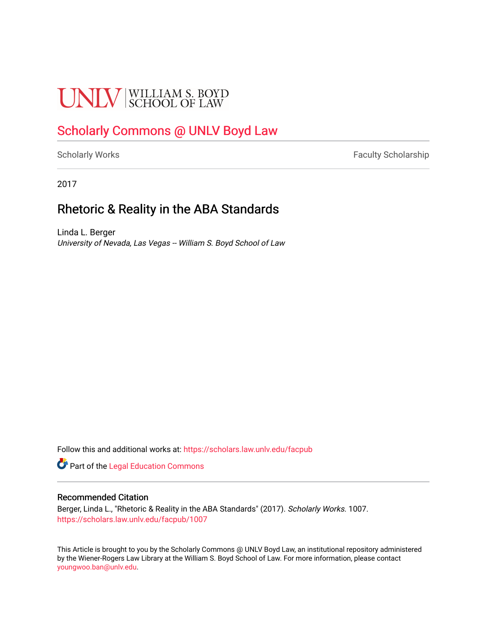# **UNLV** SCHOOL OF LAW

## [Scholarly Commons @ UNLV Boyd Law](https://scholars.law.unlv.edu/)

[Scholarly Works](https://scholars.law.unlv.edu/facpub) **Faculty Scholarship** Faculty Scholarship

2017

### Rhetoric & Reality in the ABA Standards

Linda L. Berger University of Nevada, Las Vegas -- William S. Boyd School of Law

Follow this and additional works at: [https://scholars.law.unlv.edu/facpub](https://scholars.law.unlv.edu/facpub?utm_source=scholars.law.unlv.edu%2Ffacpub%2F1007&utm_medium=PDF&utm_campaign=PDFCoverPages)

Part of the [Legal Education Commons](http://network.bepress.com/hgg/discipline/857?utm_source=scholars.law.unlv.edu%2Ffacpub%2F1007&utm_medium=PDF&utm_campaign=PDFCoverPages) 

#### Recommended Citation

Berger, Linda L., "Rhetoric & Reality in the ABA Standards" (2017). Scholarly Works. 1007. [https://scholars.law.unlv.edu/facpub/1007](https://scholars.law.unlv.edu/facpub/1007?utm_source=scholars.law.unlv.edu%2Ffacpub%2F1007&utm_medium=PDF&utm_campaign=PDFCoverPages) 

This Article is brought to you by the Scholarly Commons @ UNLV Boyd Law, an institutional repository administered by the Wiener-Rogers Law Library at the William S. Boyd School of Law. For more information, please contact [youngwoo.ban@unlv.edu.](mailto:youngwoo.ban@unlv.edu)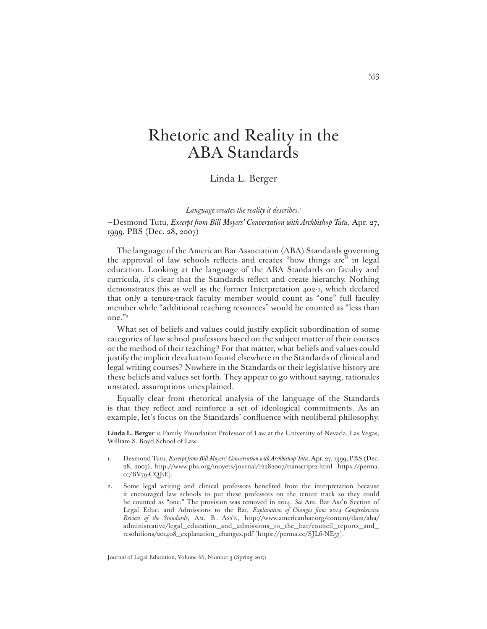## Rhetoric and Reality in the ABA Standards

#### Linda L. Berger

*Language creates the reality it describes.1*

—Desmond Tutu, *Excerpt from Bill Moyers' Conversation with Archbishop Tutu*, Apr. 27, 1999, PBS (Dec. 28, 2007)

The language of the American Bar Association (ABA) Standards governing the approval of law schools reflects and creates "how things are" in legal education. Looking at the language of the ABA Standards on faculty and curricula, it's clear that the Standards reflect and create hierarchy. Nothing demonstrates this as well as the former Interpretation 402-1, which declared that only a tenure-track faculty member would count as "one" full faculty member while "additional teaching resources" would be counted as "less than one."<sup>2</sup>

What set of beliefs and values could justify explicit subordination of some categories of law school professors based on the subject matter of their courses or the method of their teaching? For that matter, what beliefs and values could justify the implicit devaluation found elsewhere in the Standards of clinical and legal writing courses? Nowhere in the Standards or their legislative history are these beliefs and values set forth. They appear to go without saying, rationales unstated, assumptions unexplained.

Equally clear from rhetorical analysis of the language of the Standards is that they reflect and reinforce a set of ideological commitments. As an example, let's focus on the Standards' confluence with neoliberal philosophy.

**Linda L. Berger** is Family Foundation Professor of Law at the University of Nevada, Las Vegas, William S. Boyd School of Law.

- 1. Desmond Tutu, *Excerpt from Bill Moyers' Conversation with Archbishop Tutu*, Apr. 27, 1999, PBS (Dec. 28, 2007), http://www.pbs.org/moyers/journal/12282007/transcript2.html [https://perma. cc/BV79-CQEE].
- 2. Some legal writing and clinical professors benefited from the interpretation because it encouraged law schools to put these professors on the tenure track so they could be counted as "one." The provision was removed in 2014. *See* Am. Bar Ass'n Section of Legal Educ. and Admissions to the Bar, *Explanation of Changes from 2014 Comprehensive Review of the Standards*, AM. B. ASS'N, http://www.americanbar.org/content/dam/aba/ administrative/legal\_education\_and\_admissions\_to\_the\_bar/council\_reports\_and\_ resolutions/201408\_explanation\_changes.pdf [https://perma.cc/SJL6-NE57].

Journal of Legal Education, Volume 66, Number 3 (Spring 2017)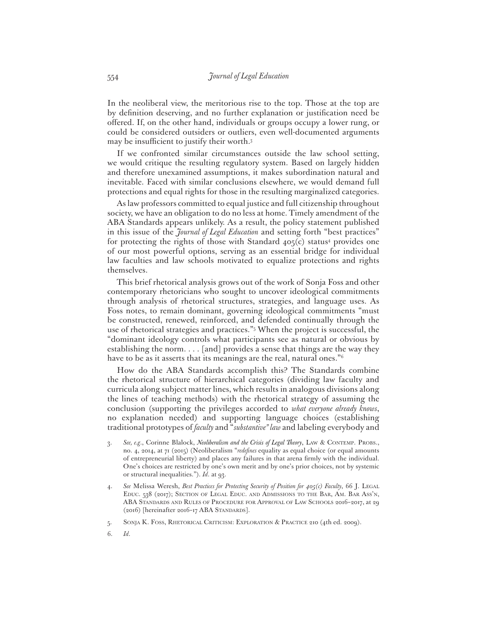In the neoliberal view, the meritorious rise to the top. Those at the top are by definition deserving, and no further explanation or justification need be offered. If, on the other hand, individuals or groups occupy a lower rung, or could be considered outsiders or outliers, even well-documented arguments may be insufficient to justify their worth.<sup>3</sup>

If we confronted similar circumstances outside the law school setting, we would critique the resulting regulatory system. Based on largely hidden and therefore unexamined assumptions, it makes subordination natural and inevitable. Faced with similar conclusions elsewhere, we would demand full protections and equal rights for those in the resulting marginalized categories.

As law professors committed to equal justice and full citizenship throughout society, we have an obligation to do no less at home. Timely amendment of the ABA Standards appears unlikely. As a result, the policy statement published in this issue of the *Journal of Legal Education* and setting forth "best practices" for protecting the rights of those with Standard 405(c) status<sup>4</sup> provides one of our most powerful options, serving as an essential bridge for individual law faculties and law schools motivated to equalize protections and rights themselves.

This brief rhetorical analysis grows out of the work of Sonja Foss and other contemporary rhetoricians who sought to uncover ideological commitments through analysis of rhetorical structures, strategies, and language uses. As Foss notes, to remain dominant, governing ideological commitments "must be constructed, renewed, reinforced, and defended continually through the use of rhetorical strategies and practices."5 When the project is successful, the "dominant ideology controls what participants see as natural or obvious by establishing the norm. . . . [and] provides a sense that things are the way they have to be as it asserts that its meanings are the real, natural ones."6

How do the ABA Standards accomplish this? The Standards combine the rhetorical structure of hierarchical categories (dividing law faculty and curricula along subject matter lines, which results in analogous divisions along the lines of teaching methods) with the rhetorical strategy of assuming the conclusion (supporting the privileges accorded to *what everyone already knows*, no explanation needed) and supporting language choices (establishing traditional prototypes of *faculty* and "*substantive" law* and labeling everybody and

- 3. *See, e.g*., Corinne Blalock, *Neoliberalism and the Crisis of Legal Theory*, LAW & CONTEMP. PROBS., no. 4, 2014, at 71 (2015) (Neoliberalism "*redefines* equality as equal choice (or equal amounts of entrepreneurial liberty) and places any failures in that arena firmly with the individual. One's choices are restricted by one's own merit and by one's prior choices, not by systemic or structural inequalities."). *Id*. at 93.
- 4. *See* Melissa Weresh, *Best Practices for Protecting Security of Position for 405(c) Faculty*, 66 J. LEGAL EDUC. 538 (2017); SECTION OF LEGAL EDUC. AND ADMISSIONS TO THE BAR, AM. BAR ASS'N, ABA STANDARDS AND RULES OF PROCEDURE FOR APPROVAL OF LAW SCHOOLS 2016–2017, at 29 (2016) [hereinafter 2016–17 ABA STANDARDS].
- 5. SONJA K. FOSS, RHETORICAL CRITICISM: EXPLORATION & PRACTICE 210 (4th ed. 2009).
- 6. *Id*.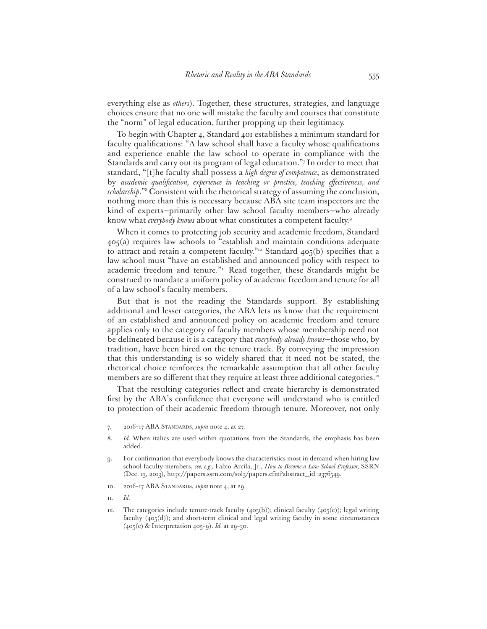everything else as *others*). Together, these structures, strategies, and language choices ensure that no one will mistake the faculty and courses that constitute the "norm" of legal education, further propping up their legitimacy.

To begin with Chapter 4, Standard 401 establishes a minimum standard for faculty qualifications: "A law school shall have a faculty whose qualifications and experience enable the law school to operate in compliance with the Standards and carry out its program of legal education."7 In order to meet that standard, "[t]he faculty shall possess a *high degree of competence*, as demonstrated by academic qualification, experience in teaching or practice, teaching effectiveness, and *scholarship*."8 Consistent with the rhetorical strategy of assuming the conclusion, nothing more than this is necessary because ABA site team inspectors are the kind of experts—primarily other law school faculty members—who already know what *everybody knows* about what constitutes a competent faculty.9

When it comes to protecting job security and academic freedom, Standard 405(a) requires law schools to "establish and maintain conditions adequate to attract and retain a competent faculty."<sup>10</sup> Standard  $405(b)$  specifies that a law school must "have an established and announced policy with respect to academic freedom and tenure."<sup>11</sup> Read together, these Standards might be construed to mandate a uniform policy of academic freedom and tenure for all of a law school's faculty members.

But that is not the reading the Standards support. By establishing additional and lesser categories, the ABA lets us know that the requirement of an established and announced policy on academic freedom and tenure applies only to the category of faculty members whose membership need not be delineated because it is a category that *everybody already knows*—those who, by tradition, have been hired on the tenure track. By conveying the impression that this understanding is so widely shared that it need not be stated, the rhetorical choice reinforces the remarkable assumption that all other faculty members are so different that they require at least three additional categories.<sup>12</sup>

That the resulting categories reflect and create hierarchy is demonstrated first by the ABA's confidence that everyone will understand who is entitled to protection of their academic freedom through tenure. Moreover, not only

- 7. 2016–17 ABA STANDARDS, *supra* note 4, at 27.
- 8. *Id.* When italics are used within quotations from the Standards, the emphasis has been added.
- 9. For confirmation that everybody knows the characteristics most in demand when hiring law school faculty members, *see, e.g.,* Fabio Arcila, Jr., *How to Become a Law School Professor,* SSRN (Dec. 13, 2013), http://papers.ssrn.com/sol3/papers.cfm?abstract\_id=2376549.
- 10. 2016–17 ABA STANDARDS, *supra* note 4, at 29.
- 11. *Id.*
- 12. The categories include tenure-track faculty (405(b)); clinical faculty (405(c)); legal writing faculty  $(405(d))$ ; and short-term clinical and legal writing faculty in some circumstances (405(c) & Interpretation 405–9). *Id.* at 29–30.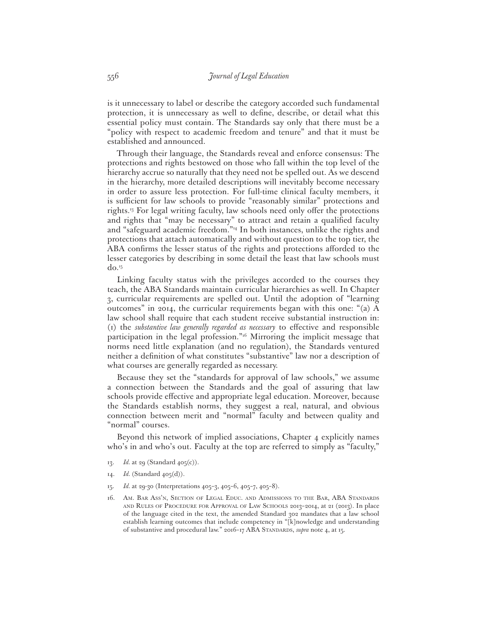is it unnecessary to label or describe the category accorded such fundamental protection, it is unnecessary as well to define, describe, or detail what this essential policy must contain. The Standards say only that there must be a "policy with respect to academic freedom and tenure" and that it must be established and announced.

Through their language, the Standards reveal and enforce consensus: The protections and rights bestowed on those who fall within the top level of the hierarchy accrue so naturally that they need not be spelled out. As we descend in the hierarchy, more detailed descriptions will inevitably become necessary in order to assure less protection. For full-time clinical faculty members, it is sufficient for law schools to provide "reasonably similar" protections and rights.<sup>13</sup> For legal writing faculty, law schools need only offer the protections and rights that "may be necessary" to attract and retain a qualified faculty and "safeguard academic freedom."14 In both instances, unlike the rights and protections that attach automatically and without question to the top tier, the ABA confirms the lesser status of the rights and protections afforded to the lesser categories by describing in some detail the least that law schools must  $do.<sup>15</sup>$ 

Linking faculty status with the privileges accorded to the courses they teach, the ABA Standards maintain curricular hierarchies as well. In Chapter 3, curricular requirements are spelled out. Until the adoption of "learning outcomes" in 2014, the curricular requirements began with this one: "(a) A law school shall require that each student receive substantial instruction in: (1) the *substantive law generally regarded as necessary* to effective and responsible participation in the legal profession."16 Mirroring the implicit message that norms need little explanation (and no regulation), the Standards ventured neither a definition of what constitutes "substantive" law nor a description of what courses are generally regarded as necessary.

Because they set the "standards for approval of law schools," we assume a connection between the Standards and the goal of assuring that law schools provide effective and appropriate legal education. Moreover, because the Standards establish norms, they suggest a real, natural, and obvious connection between merit and "normal" faculty and between quality and "normal" courses.

Beyond this network of implied associations, Chapter 4 explicitly names who's in and who's out. Faculty at the top are referred to simply as "faculty,"

- 13. *Id.* at 29 (Standard 405(c)).
- 14. *Id.* (Standard 405(d)).
- 15. *Id.* at 29-30 (Interpretations 405–3, 405–6, 405–7, 405–8).
- 16. AM. BAR ASS'N, SECTION OF LEGAL EDUC. AND ADMISSIONS TO THE BAR, ABA STANDARDS AND RULES OF PROCEDURE FOR APPROVAL OF LAW SCHOOLS 2013–2014, at 21 (2013). In place of the language cited in the text, the amended Standard 302 mandates that a law school establish learning outcomes that include competency in "[k]nowledge and understanding of substantive and procedural law." 2016–17 ABA STANDARDS, *supra* note 4, at 15.